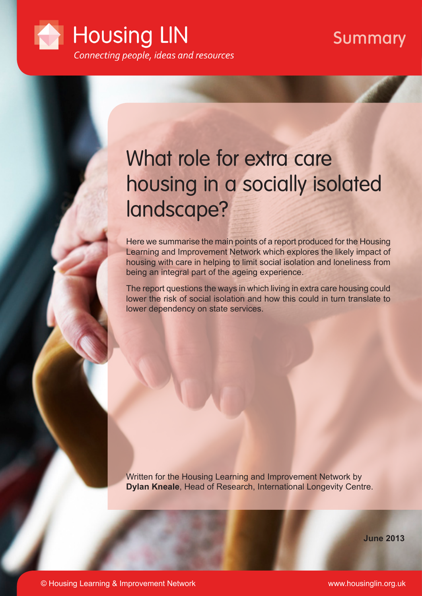

## Summary

# What role for extra care housing in a socially isolated landscape?

Here we summarise the main points of a report produced for the Housing Learning and Improvement Network which explores the likely impact of housing with care in helping to limit social isolation and loneliness from being an integral part of the ageing experience.

The report questions the ways in which living in extra care housing could lower the risk of social isolation and how this could in turn translate to lower dependency on state services.

Written for the Housing Learning and Improvement Network by **Dylan Kneale**, Head of Research, International Longevity Centre.

**June 2013**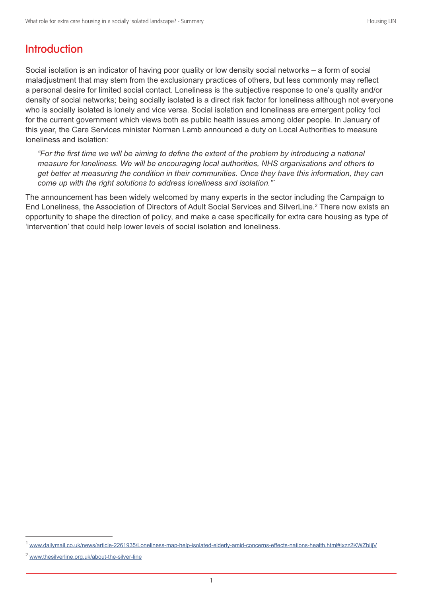## **Introduction**

Social isolation is an indicator of having poor quality or low density social networks – a form of social maladjustment that may stem from the exclusionary practices of others, but less commonly may reflect a personal desire for limited social contact. Loneliness is the subjective response to one's quality and/or density of social networks; being socially isolated is a direct risk factor for loneliness although not everyone who is socially isolated is lonely and vice versa. Social isolation and loneliness are emergent policy foci for the current government which views both as public health issues among older people. In January of this year, the Care Services minister Norman Lamb announced a duty on Local Authorities to measure loneliness and isolation:

*"For the first time we will be aiming to define the extent of the problem by introducing a national measure for loneliness. We will be encouraging local authorities, NHS organisations and others to get better at measuring the condition in their communities. Once they have this information, they can come up with the right solutions to address loneliness and isolation."* <sup>1</sup>

The announcement has been widely welcomed by many experts in the sector including the Campaign to End Loneliness, the Association of Directors of Adult Social Services and SilverLine.<sup>2</sup> There now exists an opportunity to shape the direction of policy, and make a case specifically for extra care housing as type of 'intervention' that could help lower levels of social isolation and loneliness.

<sup>1</sup> www.dailymail.co.uk/news/article-2261935/Loneliness-map-help-isolated-elderly-amid-concerns-effects-nations-health.html#ixzz2KWZbIijV

www.thesilverline.org.uk/about-the-silver-line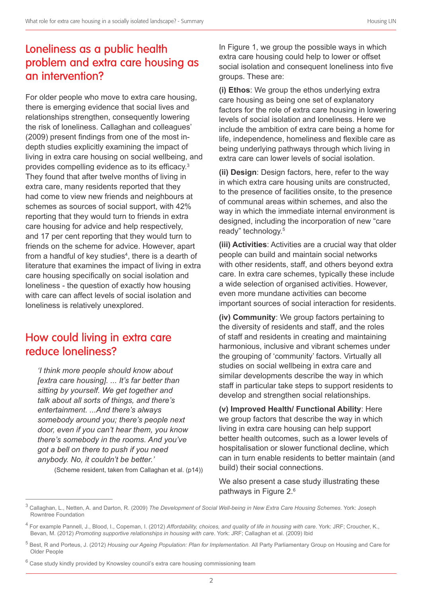## Loneliness as a public health problem and extra care housing as an intervention?

For older people who move to extra care housing, there is emerging evidence that social lives and relationships strengthen, consequently lowering the risk of loneliness. Callaghan and colleagues' (2009) present findings from one of the most indepth studies explicitly examining the impact of living in extra care housing on social wellbeing, and provides compelling evidence as to its efficacy.<sup>3</sup> They found that after twelve months of living in extra care, many residents reported that they had come to view new friends and neighbours at schemes as sources of social support, with 42% reporting that they would turn to friends in extra care housing for advice and help respectively, and 17 per cent reporting that they would turn to friends on the scheme for advice. However, apart from a handful of key studies $4$ , there is a dearth of literature that examines the impact of living in extra care housing specifically on social isolation and loneliness - the question of exactly how housing with care can affect levels of social isolation and loneliness is relatively unexplored.

### How could living in extra care reduce loneliness?

*'I think more people should know about [extra care housing]. ... It's far better than sitting by yourself. We get together and talk about all sorts of things, and there's entertainment. ...And there's always somebody around you; there's people next door, even if you can't hear them, you know there's somebody in the rooms. And you've got a bell on there to push if you need anybody. No, it couldn't be better.'*

(Scheme resident, taken from Callaghan et al. (p14))

In Figure 1, we group the possible ways in which extra care housing could help to lower or offset social isolation and consequent loneliness into five groups. These are:

**(i) Ethos**: We group the ethos underlying extra care housing as being one set of explanatory factors for the role of extra care housing in lowering levels of social isolation and loneliness. Here we include the ambition of extra care being a home for life, independence, homeliness and flexible care as being underlying pathways through which living in extra care can lower levels of social isolation.

**(ii) Design**: Design factors, here, refer to the way in which extra care housing units are constructed, to the presence of facilities onsite, to the presence of communal areas within schemes, and also the way in which the immediate internal environment is designed, including the incorporation of new "care ready" technology.5

**(iii) Activities**: Activities are a crucial way that older people can build and maintain social networks with other residents, staff, and others beyond extra care. In extra care schemes, typically these include a wide selection of organised activities. However, even more mundane activities can become important sources of social interaction for residents.

**(iv) Community**: We group factors pertaining to the diversity of residents and staff, and the roles of staff and residents in creating and maintaining harmonious, inclusive and vibrant schemes under the grouping of 'community' factors. Virtually all studies on social wellbeing in extra care and similar developments describe the way in which staff in particular take steps to support residents to develop and strengthen social relationships.

**(v) Improved Health/ Functional Ability**: Here we group factors that describe the way in which living in extra care housing can help support better health outcomes, such as a lower levels of hospitalisation or slower functional decline, which can in turn enable residents to better maintain (and build) their social connections.

We also present a case study illustrating these pathways in Figure 2.6

<sup>3</sup> Callaghan, L., Netten, A. and Darton, R. (2009) *The Development of Social Well-being in New Extra Care Housing Schemes*. York: Joseph Rowntree Foundation

<sup>4</sup> For example Pannell, J., Blood, I., Copeman, I. (2012) *Affordability, choices, and quality of life in housing with care*. York: JRF; Croucher, K., Bevan, M. (2012) *Promoting supportive relationships in housing with care*. York: JRF; Callaghan et al. (2009) Ibid

<sup>&</sup>lt;sup>5</sup> Best, R and Porteus, J. (2012) *Housing our Ageing Population: Plan for Implementation.* All Party Parliamentary Group on Housing and Care for Older People

<sup>&</sup>lt;sup>6</sup> Case study kindly provided by Knowsley council's extra care housing commissioning team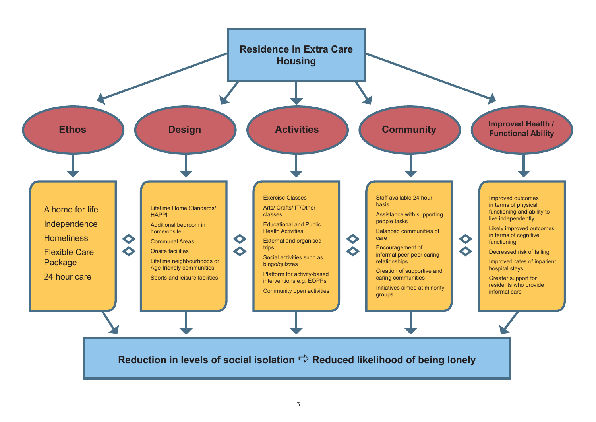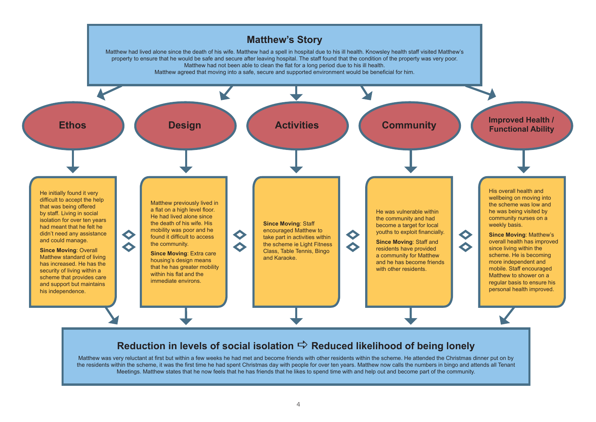

Matthew was very reluctant at first but within a few weeks he had met and become friends with other residents within the scheme. He attended the Christmas dinner put on by the residents within the scheme, it was the first time he had spent Christmas day with people for over ten years. Matthew now calls the numbers in bingo and attends all Tenant Meetings. Matthew states that he now feels that he has friends that he likes to spend time with and help out and become part of the community.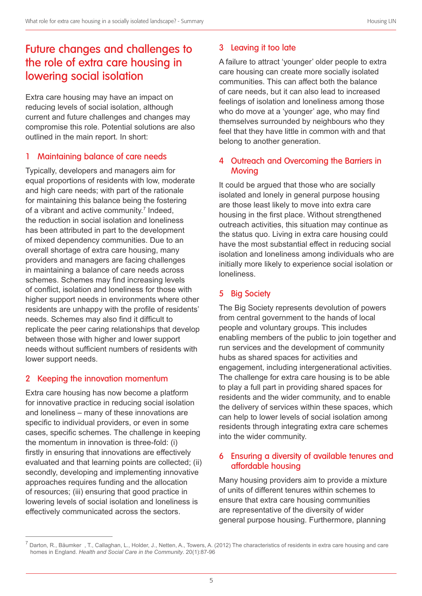## Future changes and challenges to the role of extra care housing in lowering social isolation

Extra care housing may have an impact on reducing levels of social isolation, although current and future challenges and changes may compromise this role. Potential solutions are also outlined in the main report. In short:

#### 1 Maintaining balance of care needs

Typically, developers and managers aim for equal proportions of residents with low, moderate and high care needs; with part of the rationale for maintaining this balance being the fostering of a vibrant and active community.<sup>7</sup> Indeed, the reduction in social isolation and loneliness has been attributed in part to the development of mixed dependency communities. Due to an overall shortage of extra care housing, many providers and managers are facing challenges in maintaining a balance of care needs across schemes. Schemes may find increasing levels of conflict, isolation and loneliness for those with higher support needs in environments where other residents are unhappy with the profile of residents' needs. Schemes may also find it difficult to replicate the peer caring relationships that develop between those with higher and lower support needs without sufficient numbers of residents with lower support needs.

#### 2 Keeping the innovation momentum

Extra care housing has now become a platform for innovative practice in reducing social isolation and loneliness – many of these innovations are specific to individual providers, or even in some cases, specific schemes. The challenge in keeping the momentum in innovation is three-fold: (i) firstly in ensuring that innovations are effectively evaluated and that learning points are collected; (ii) secondly, developing and implementing innovative approaches requires funding and the allocation of resources; (iii) ensuring that good practice in lowering levels of social isolation and loneliness is effectively communicated across the sectors.

#### 3 Leaving it too late

A failure to attract 'younger' older people to extra care housing can create more socially isolated communities. This can affect both the balance of care needs, but it can also lead to increased feelings of isolation and loneliness among those who do move at a 'younger' age, who may find themselves surrounded by neighbours who they feel that they have little in common with and that belong to another generation.

#### 4 Outreach and Overcoming the Barriers in Moving

It could be argued that those who are socially isolated and lonely in general purpose housing are those least likely to move into extra care housing in the first place. Without strengthened outreach activities, this situation may continue as the status quo. Living in extra care housing could have the most substantial effect in reducing social isolation and loneliness among individuals who are initially more likely to experience social isolation or loneliness.

#### 5 Big Society

The Big Society represents devolution of powers from central government to the hands of local people and voluntary groups. This includes enabling members of the public to join together and run services and the development of community hubs as shared spaces for activities and engagement, including intergenerational activities. The challenge for extra care housing is to be able to play a full part in providing shared spaces for residents and the wider community, and to enable the delivery of services within these spaces, which can help to lower levels of social isolation among residents through integrating extra care schemes into the wider community.

#### 6 Ensuring a diversity of available tenures and affordable housing

Many housing providers aim to provide a mixture of units of different tenures within schemes to ensure that extra care housing communities are representative of the diversity of wider general purpose housing. Furthermore, planning

 $^7$  Darton, R., Bäumker , T., Callaghan, L., Holder, J., Netten, A., Towers, A. (2012) The characteristics of residents in extra care housing and care homes in England. *Health and Social Care in the Community*. 20(1):87-96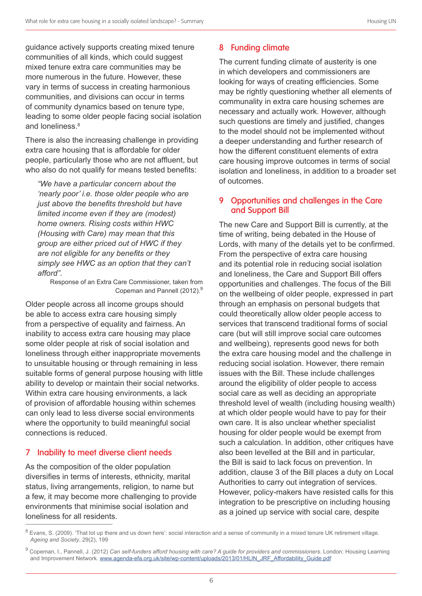guidance actively supports creating mixed tenure communities of all kinds, which could suggest mixed tenure extra care communities may be more numerous in the future. However, these vary in terms of success in creating harmonious communities, and divisions can occur in terms of community dynamics based on tenure type, leading to some older people facing social isolation and loneliness.<sup>8</sup>

There is also the increasing challenge in providing extra care housing that is affordable for older people, particularly those who are not affluent, but who also do not qualify for means tested benefits:

*"We have a particular concern about the 'nearly poor' i.e. those older people who are just above the benefits threshold but have limited income even if they are (modest) home owners. Rising costs within HWC (Housing with Care) may mean that this group are either priced out of HWC if they are not eligible for any benefits or they simply see HWC as an option that they can't afford".*

Response of an Extra Care Commissioner, taken from Copeman and Pannell (2012).<sup>9</sup>

Older people across all income groups should be able to access extra care housing simply from a perspective of equality and fairness. An inability to access extra care housing may place some older people at risk of social isolation and loneliness through either inappropriate movements to unsuitable housing or through remaining in less suitable forms of general purpose housing with little ability to develop or maintain their social networks. Within extra care housing environments, a lack of provision of affordable housing within schemes can only lead to less diverse social environments where the opportunity to build meaningful social connections is reduced.

#### 7 Inability to meet diverse client needs

As the composition of the older population diversifies in terms of interests, ethnicity, marital status, living arrangements, religion, to name but a few, it may become more challenging to provide environments that minimise social isolation and loneliness for all residents.

#### 8 Funding climate

The current funding climate of austerity is one in which developers and commissioners are looking for ways of creating efficiencies. Some may be rightly questioning whether all elements of communality in extra care housing schemes are necessary and actually work. However, although such questions are timely and justified, changes to the model should not be implemented without a deeper understanding and further research of how the different constituent elements of extra care housing improve outcomes in terms of social isolation and loneliness, in addition to a broader set of outcomes.

#### 9 Opportunities and challenges in the Care and Support Bill

The new Care and Support Bill is currently, at the time of writing, being debated in the House of Lords, with many of the details yet to be confirmed. From the perspective of extra care housing and its potential role in reducing social isolation and loneliness, the Care and Support Bill offers opportunities and challenges. The focus of the Bill on the wellbeing of older people, expressed in part through an emphasis on personal budgets that could theoretically allow older people access to services that transcend traditional forms of social care (but will still improve social care outcomes and wellbeing), represents good news for both the extra care housing model and the challenge in reducing social isolation. However, there remain issues with the Bill. These include challenges around the eligibility of older people to access social care as well as deciding an appropriate threshold level of wealth (including housing wealth) at which older people would have to pay for their own care. It is also unclear whether specialist housing for older people would be exempt from such a calculation. In addition, other critiques have also been levelled at the Bill and in particular, the Bill is said to lack focus on prevention. In addition, clause 3 of the Bill places a duty on Local Authorities to carry out integration of services. However, policy-makers have resisted calls for this integration to be prescriptive on including housing as a joined up service with social care, despite

 $8$  Evans, S. (2009). 'That lot up there and us down here': social interaction and a sense of community in a mixed tenure UK retirement village. *Ageing and Society*, 29(2), 199

<sup>9</sup> Copeman, I., Pannell, J. (2012) *Can self-funders afford housing with care? A guide for providers and commissioners*. London: Housing Learning and Improvement Network. www.agenda-efa.org.uk/site/wp-content/uploads/2013/01/HLIN\_JRF\_Affordability\_Guide.pdf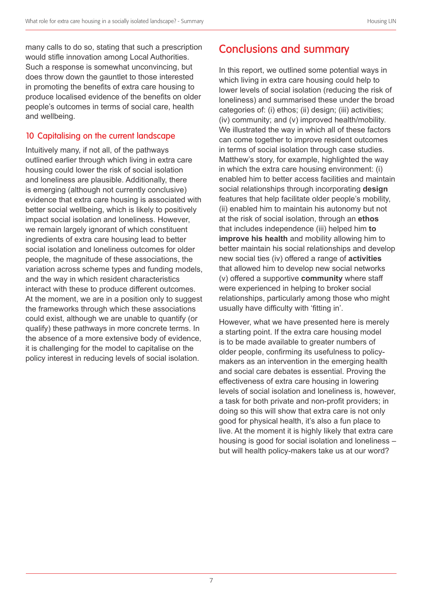many calls to do so, stating that such a prescription would stifle innovation among Local Authorities. Such a response is somewhat unconvincing, but does throw down the gauntlet to those interested in promoting the benefits of extra care housing to produce localised evidence of the benefits on older people's outcomes in terms of social care, health and wellbeing.

#### 10 Capitalising on the current landscape

Intuitively many, if not all, of the pathways outlined earlier through which living in extra care housing could lower the risk of social isolation and loneliness are plausible. Additionally, there is emerging (although not currently conclusive) evidence that extra care housing is associated with better social wellbeing, which is likely to positively impact social isolation and loneliness. However, we remain largely ignorant of which constituent ingredients of extra care housing lead to better social isolation and loneliness outcomes for older people, the magnitude of these associations, the variation across scheme types and funding models, and the way in which resident characteristics interact with these to produce different outcomes. At the moment, we are in a position only to suggest the frameworks through which these associations could exist, although we are unable to quantify (or qualify) these pathways in more concrete terms. In the absence of a more extensive body of evidence, it is challenging for the model to capitalise on the policy interest in reducing levels of social isolation.

## Conclusions and summary

In this report, we outlined some potential ways in which living in extra care housing could help to lower levels of social isolation (reducing the risk of loneliness) and summarised these under the broad categories of: (i) ethos; (ii) design; (iii) activities; (iv) community; and (v) improved health/mobility. We illustrated the way in which all of these factors can come together to improve resident outcomes in terms of social isolation through case studies. Matthew's story, for example, highlighted the way in which the extra care housing environment: (i) enabled him to better access facilities and maintain social relationships through incorporating **design** features that help facilitate older people's mobility, (ii) enabled him to maintain his autonomy but not at the risk of social isolation, through an **ethos** that includes independence (iii) helped him **to improve his health** and mobility allowing him to better maintain his social relationships and develop new social ties (iv) offered a range of **activities** that allowed him to develop new social networks (v) offered a supportive **community** where staff were experienced in helping to broker social relationships, particularly among those who might usually have difficulty with 'fitting in'.

However, what we have presented here is merely a starting point. If the extra care housing model is to be made available to greater numbers of older people, confirming its usefulness to policymakers as an intervention in the emerging health and social care debates is essential. Proving the effectiveness of extra care housing in lowering levels of social isolation and loneliness is, however, a task for both private and non-profit providers; in doing so this will show that extra care is not only good for physical health, it's also a fun place to live. At the moment it is highly likely that extra care housing is good for social isolation and loneliness – but will health policy-makers take us at our word?